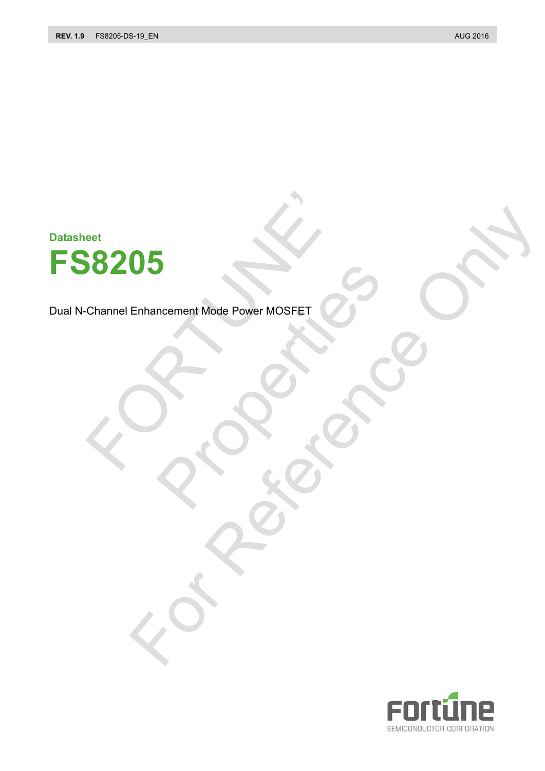**Datasheet**



Dual N-Channel Enhancement Mode Power MOSFET DRA CONSTRUCTION Enhancement Mode Power Moser ET (25 OCT)

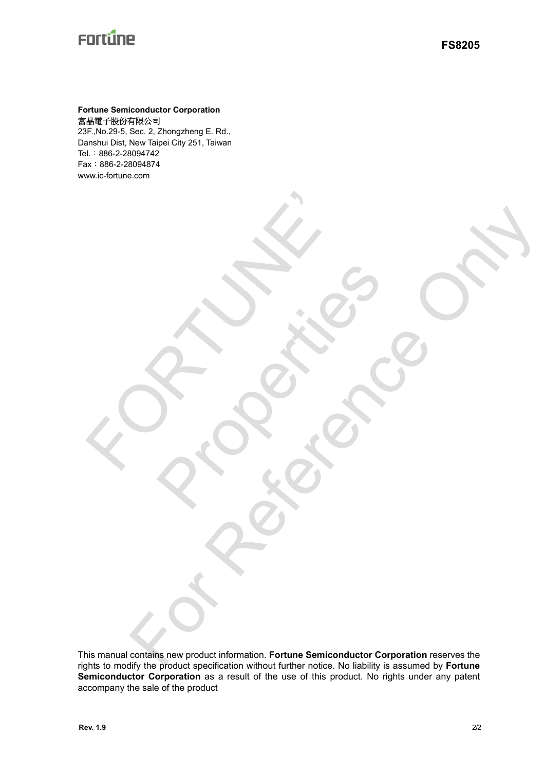#### **Fortune Semiconductor Corporation**  富晶電子股份有限公司

23F.,No.29-5, Sec. 2, Zhongzheng E. Rd., Danshui Dist, New Taipei City 251, Taiwan Tel.:886-2-28094742 Fax:886-2-28094874 www.ic-fortune.com

E PROFILE

This manual contains new product information. **Fortune Semiconductor Corporation** reserves the rights to modify the product specification without further notice. No liability is assumed by **Fortune Semiconductor Corporation** as a result of the use of this product. No rights under any patent accompany the sale of the product Contract of Concernstructure Concernstructure Concernstructure

Rockers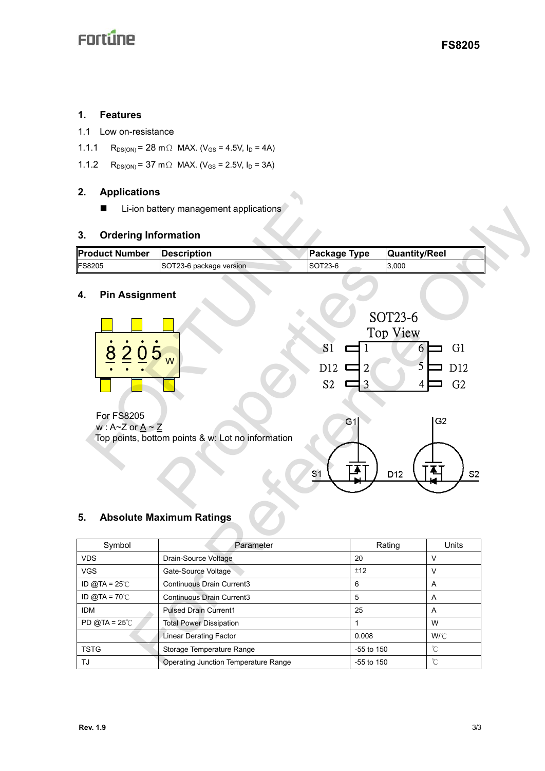#### **1. Features**

- 1.1 Low on-resistance
- 1.1.1 R<sub>DS(ON)</sub> = 28 m  $\Omega$  MAX. (V<sub>GS</sub> = 4.5V, I<sub>D</sub> = 4A)
- 1.1.2  $R_{DS(ON)} = 37 \text{ m} \Omega \text{ MAX.}$  (V<sub>GS</sub> = 2.5V, I<sub>D</sub> = 3A)

## **2. Applications**

### **3. Ordering Information**

| Product Number | <b>IDescription</b>     | Package Type    | <b>Quantity/Reel</b> |
|----------------|-------------------------|-----------------|----------------------|
| <b>FS8205</b>  | SOT23-6 package version | <b>ISOT23-6</b> | 3,000                |

### **4. Pin Assignment**

| Ζ.<br>Applications                                   |                                                                                      |                                |                       |                |  |  |
|------------------------------------------------------|--------------------------------------------------------------------------------------|--------------------------------|-----------------------|----------------|--|--|
| ■                                                    | Li-ion battery management applications                                               |                                |                       |                |  |  |
| <b>Ordering Information</b><br>3.                    |                                                                                      |                                |                       |                |  |  |
| <b>Product Number</b>                                | <b>Description</b>                                                                   | <b>Package Type</b>            | <b>Quantity/Reel</b>  |                |  |  |
| FS8205                                               | SOT23-6 package version                                                              | SOT23-6                        | 3,000                 |                |  |  |
| <b>Pin Assignment</b><br>4.                          |                                                                                      |                                |                       |                |  |  |
|                                                      |                                                                                      |                                | SOT23-6<br>Top View   |                |  |  |
| 8<br>$\overline{2}0$                                 | 5 <sub>w</sub>                                                                       | S <sub>1</sub><br>$\mathbf{1}$ | G <sub>1</sub><br>6   |                |  |  |
|                                                      |                                                                                      | D12<br>$\overline{2}$          | 5<br>D <sub>12</sub>  |                |  |  |
|                                                      |                                                                                      |                                |                       |                |  |  |
|                                                      |                                                                                      | S <sub>2</sub><br>3            | G <sub>2</sub><br>4   |                |  |  |
| $W: A \sim Z$ or $A \sim Z$<br>5.                    | Top points, bottom points & w: Lot no information<br><b>Absolute Maximum Ratings</b> | G1<br>S1                       | G <sub>2</sub><br>D12 | S <sub>2</sub> |  |  |
| Symbol                                               | Parameter                                                                            |                                | Units<br>Rating       |                |  |  |
| <b>VDS</b>                                           | Drain-Source Voltage                                                                 | 20                             | V                     |                |  |  |
| <b>VGS</b><br>Gate-Source Voltage                    |                                                                                      | ±12                            | $\vee$                |                |  |  |
| ID @TA = $25^{\circ}$ C<br>Continuous Drain Current3 |                                                                                      | 6                              | A                     |                |  |  |
| ID @TA = $70^{\circ}$ C                              | Continuous Drain Current3                                                            | 5                              | Α                     |                |  |  |
| <b>IDM</b>                                           | <b>Pulsed Drain Current1</b>                                                         | 25                             | A                     |                |  |  |
| PD @TA = $25^\circ$ C                                | <b>Total Power Dissipation</b>                                                       | $\mathbf{1}$                   | W                     |                |  |  |
|                                                      | <b>Linear Derating Factor</b>                                                        | 0.008                          | W/°C                  |                |  |  |
| <b>TSTG</b>                                          | Storage Temperature Range                                                            | -55 to 150                     | $\rm ^{\circ}\!C$     |                |  |  |
| TJ                                                   | Operating Junction Temperature Range                                                 | -55 to 150                     | °C                    |                |  |  |

## **5. Absolute Maximum Ratings**

| Symbol                  | Parameter                            | Rating       | Units        |
|-------------------------|--------------------------------------|--------------|--------------|
| <b>VDS</b>              | Drain-Source Voltage                 | 20           | ν            |
| <b>VGS</b>              | Gate-Source Voltage                  | ±12          | ν            |
| ID @TA = $25^{\circ}$ C | Continuous Drain Current3            | 6            | A            |
| ID @TA = $70^{\circ}$ C | Continuous Drain Current3            | 5            | A            |
| <b>IDM</b>              | <b>Pulsed Drain Current1</b>         | 25           | A            |
| PD @TA = $25^\circ$ C   | <b>Total Power Dissipation</b>       |              | W            |
|                         | Linear Derating Factor               | 0.008        | $W^{\circ}C$ |
| <b>TSTG</b>             | Storage Temperature Range            | $-55$ to 150 | °С           |
| TJ                      | Operating Junction Temperature Range | $-55$ to 150 | °С           |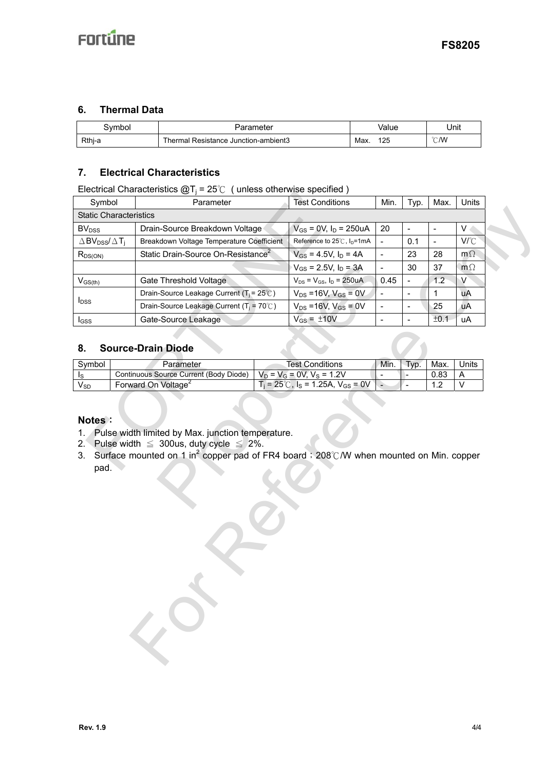### **6. Thermal Data**

| ivmbol | arameter                             |      | ∨alue         | Jnit           |
|--------|--------------------------------------|------|---------------|----------------|
| Rthj-a | Thermal Resistance Junction-ambient3 | Max. | イウロ<br>ی کے ا | $^{\circ}$ C/W |

### **7. Electrical Characteristics**

| Electrical Characteristics $@T_i = 25^\circ \text{C}$ (unless otherwise specified) |  |
|------------------------------------------------------------------------------------|--|
|                                                                                    |  |

|                                                            | Libothodi Origiactoriotico (a) i                                                                                                                           |  | $20v$ annould be virtually appeal to $\mu$<br><b>Test Conditions</b> | Min. |                          | Max. | Units           |  |
|------------------------------------------------------------|------------------------------------------------------------------------------------------------------------------------------------------------------------|--|----------------------------------------------------------------------|------|--------------------------|------|-----------------|--|
| Symbol                                                     | Parameter                                                                                                                                                  |  |                                                                      |      | Typ.                     |      |                 |  |
| <b>Static Characteristics</b>                              |                                                                                                                                                            |  | $V_{GS}$ = 0V, $I_D$ = 250uA                                         | 20   |                          |      | $V_{\parallel}$ |  |
| <b>BV</b> <sub>DSS</sub>                                   | Drain-Source Breakdown Voltage                                                                                                                             |  |                                                                      |      |                          |      |                 |  |
| $\triangle$ BV <sub>DSS</sub> / $\triangle$ T <sub>i</sub> | Breakdown Voltage Temperature Coefficient                                                                                                                  |  | Reference to 25℃, I <sub>D</sub> =1mA                                |      | 0.1                      |      | V/°C            |  |
| $R_{DS(ON)}$                                               | Static Drain-Source On-Resistance <sup>2</sup>                                                                                                             |  | $V_{GS} = 4.5V$ , $I_D = 4A$                                         |      | 23                       | 28   | $m\Omega$       |  |
|                                                            |                                                                                                                                                            |  | $V_{GS} = 2.5V$ , $I_D = 3A$                                         |      | 30                       | 37   | $m\Omega$       |  |
| $V_{GS(th)}$                                               | Gate Threshold Voltage                                                                                                                                     |  | $V_{DS} = V_{GS}$ , $I_D = 250uA$                                    | 0.45 |                          | 1.2  | V               |  |
| I <sub>DSS</sub>                                           | Drain-Source Leakage Current ( $T_i = 25^\circ \text{C}$ )                                                                                                 |  | $V_{DS} = 16V, V_{GS} = 0V$                                          |      | $\blacksquare$           | 1    | uA              |  |
|                                                            | Drain-Source Leakage Current (T <sub>i</sub> = 70℃)                                                                                                        |  | $V_{DS} = 16V$ , $V_{GS} = 0V$                                       |      | $\overline{\phantom{a}}$ | 25   | uA              |  |
| I <sub>GSS</sub>                                           | Gate-Source Leakage                                                                                                                                        |  | $V_{GS} = \pm 10V$                                                   |      | $\frac{1}{2}$            | ±0.1 | <b>uA</b>       |  |
| 8.<br>Symbol                                               | <b>Source-Drain Diode</b><br>Parameter                                                                                                                     |  | <b>Test Conditions</b>                                               | Min. | Typ.                     | Max. | Units           |  |
| Is                                                         | Continuous Source Current (Body Diode)                                                                                                                     |  | $V_D = V_G = 0V, V_S = 1.2V$                                         |      |                          | 0.83 | A               |  |
| $V_{SD}$                                                   | Forward On Voltage <sup>2</sup>                                                                                                                            |  | $T_i = 25^{\circ}$ C, $I_s = 1.25$ A, V <sub>GS</sub> = 0V           |      |                          | 1.2  | $\mathsf{V}$    |  |
| pad.                                                       | 2. Pulse width $\leq$ 300us, duty cycle $\leq$ 2%.<br>3. Surface mounted on 1 in <sup>2</sup> copper pad of FR4 board ; 208℃/W when mounted on Min. copper |  |                                                                      |      |                          |      |                 |  |
|                                                            |                                                                                                                                                            |  |                                                                      |      |                          |      |                 |  |

#### **8. Source-Drain Diode**

| Svmbol          | Parameter                              | Test Conditions                                      | Min. | Typ. | Max.         | Units |
|-----------------|----------------------------------------|------------------------------------------------------|------|------|--------------|-------|
|                 | Continuous Source Current (Body Diode) | $V_D = V_G = 0V$ . $V_S = 1.2V$                      |      |      | 0.83         |       |
| V <sub>SD</sub> | Forward On Voltage <sup>2</sup>        | $T_i = 25^{\circ}$ C, $I_s = 1.25$ A, $V_{GS} = 0$ V |      |      | . . <u>.</u> |       |

#### **Notes**:

- 1. Pulse width limited by Max. junction temperature.
- 2. Pulse width  $\leq 300$ us, duty cycle  $\leq 2\%$ .
- 3. Surface mounted on 1 in<sup>2</sup> copper pad of FR4 board; 208℃/W when mounted on Min. copper pad.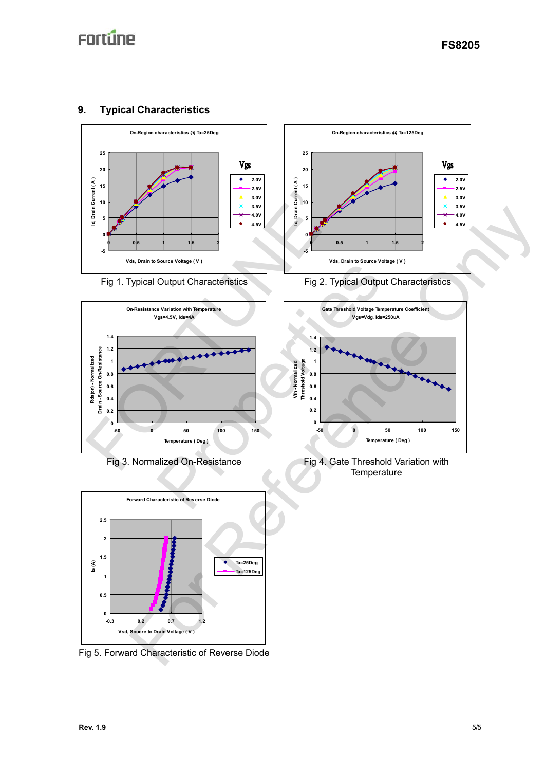## **9. Typical Characteristics**







Fig 5. Forward Characteristic of Reverse Diode



Fig 1. Typical Output Characteristics Fig 2. Typical Output Characteristics



Fig 3. Normalized On-Resistance Fig 4. Gate Threshold Variation with **Temperature**